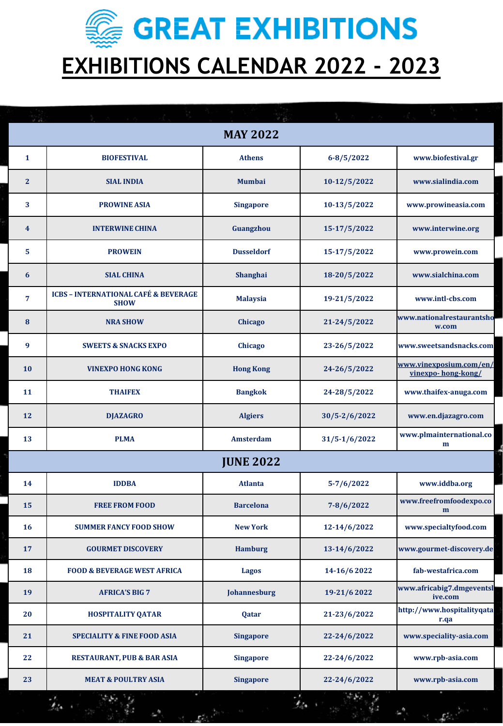**SECONDED STATE STRIBITIONS EXHIBITIONS CALENDAR 2022 - 2023**

| <b>MAY 2022</b>  |                                                                |                   |                   |                                               |  |  |  |
|------------------|----------------------------------------------------------------|-------------------|-------------------|-----------------------------------------------|--|--|--|
| $\mathbf{1}$     | <b>BIOFESTIVAL</b>                                             | <b>Athens</b>     | $6 - 8/5/2022$    | www.biofestival.gr                            |  |  |  |
| $\overline{2}$   | <b>SIAL INDIA</b>                                              | <b>Mumbai</b>     | 10-12/5/2022      | www.sialindia.com                             |  |  |  |
| 3                | <b>PROWINE ASIA</b>                                            | <b>Singapore</b>  | 10-13/5/2022      | www.prowineasia.com                           |  |  |  |
| $\boldsymbol{4}$ | <b>INTERWINE CHINA</b>                                         | Guangzhou         | 15-17/5/2022      | www.interwine.org                             |  |  |  |
| 5                | <b>PROWEIN</b>                                                 | <b>Dusseldorf</b> | 15-17/5/2022      | www.prowein.com                               |  |  |  |
| 6                | <b>SIAL CHINA</b>                                              | Shanghai          | 18-20/5/2022      | www.sialchina.com                             |  |  |  |
| $\overline{7}$   | <b>ICBS - INTERNATIONAL CAFÉ &amp; BEVERAGE</b><br><b>SHOW</b> | <b>Malaysia</b>   | 19-21/5/2022      | www.intl-cbs.com                              |  |  |  |
| 8                | <b>NRA SHOW</b>                                                | Chicago           | 21-24/5/2022      | www.nationalrestaurantsho<br>w.com            |  |  |  |
| 9                | <b>SWEETS &amp; SNACKS EXPO</b>                                | Chicago           | 23-26/5/2022      | www.sweetsandsnacks.com                       |  |  |  |
| 10               | <b>VINEXPO HONG KONG</b>                                       | <b>Hong Kong</b>  | 24-26/5/2022      | www.vinexposium.com/en/<br>vinexpo-hong-kong/ |  |  |  |
| 11               | <b>THAIFEX</b>                                                 | <b>Bangkok</b>    | 24-28/5/2022      | www.thaifex-anuga.com                         |  |  |  |
| 12               | <b>DJAZAGRO</b>                                                | <b>Algiers</b>    | $30/5 - 2/6/2022$ | www.en.djazagro.com                           |  |  |  |
| 13               | <b>PLMA</b>                                                    | Amsterdam         | $31/5 - 1/6/2022$ | www.plmainternational.co<br>m                 |  |  |  |
|                  |                                                                | <b>JUNE 2022</b>  |                   |                                               |  |  |  |
| 14               | <b>IDDBA</b>                                                   | <b>Atlanta</b>    | $5 - 7/6/2022$    | www.iddba.org                                 |  |  |  |
| 15               | <b>FREE FROM FOOD</b>                                          | <b>Barcelona</b>  | $7 - 8/6/2022$    | www.freefromfoodexpo.co<br>m                  |  |  |  |
| <b>16</b>        | <b>SUMMER FANCY FOOD SHOW</b>                                  | <b>New York</b>   | 12-14/6/2022      | www.specialtyfood.com                         |  |  |  |
| 17               | <b>GOURMET DISCOVERY</b>                                       | <b>Hamburg</b>    | 13-14/6/2022      | www.gourmet-discovery.de                      |  |  |  |
| 18               | <b>FOOD &amp; BEVERAGE WEST AFRICA</b>                         | Lagos             | 14-16/6 2022      | fab-westafrica.com                            |  |  |  |
| 19               | <b>AFRICA'S BIG 7</b>                                          | Johannesburg      | 19-21/6 2022      | www.africabig7.dmgeventsl<br>ive.com          |  |  |  |
| 20               | <b>HOSPITALITY QATAR</b>                                       | Qatar             | 21-23/6/2022      | http://www.hospitalityqata<br>r.qa            |  |  |  |
| 21               | <b>SPECIALITY &amp; FINE FOOD ASIA</b>                         | <b>Singapore</b>  | 22-24/6/2022      | www.speciality-asia.com                       |  |  |  |
| 22               | <b>RESTAURANT, PUB &amp; BAR ASIA</b>                          | <b>Singapore</b>  | 22-24/6/2022      | www.rpb-asia.com                              |  |  |  |
| 23               | <b>MEAT &amp; POULTRY ASIA</b>                                 | <b>Singapore</b>  | 22-24/6/2022      | www.rpb-asia.com                              |  |  |  |

 $f_{\rm sh}$ 

 $\mathcal{P}_{\mathcal{C}}^{\mathcal{C}} = \mathcal{P}_{\mathcal{C}}^{\mathcal{C}} = \mathcal{P}_{\mathcal{C}}^{\mathcal{C}}$ 

eg.<br>Na

 $\mathcal{C}^{\bullet} \longrightarrow \mathcal{L}^{\bullet}$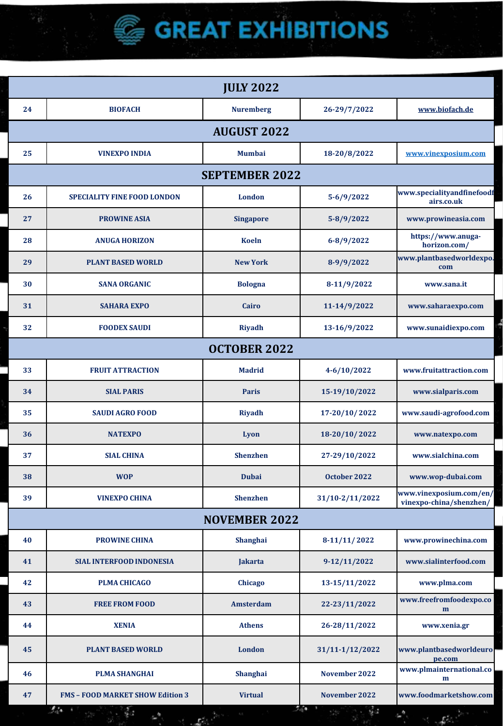## **AUGUST 2022 VINEXPO INDIA Mumbai 18-20/8/2022 [www.vinexposium.com](http://www.vinexposium.com/) SEPTEMBER 2022 SPECIALITY FINE FOOD LONDON London 5-6/9/2022 www.specialityandfinefoodf airs.co.uk PROWINE ASIA Singapore 5-8/9/2022 www.prowineasia.com ANUGA HORIZON Koeln 6-8/9/2022 https://www.anugahorizon.com/ PLANT BASED WORLD New York 8-9/9/2022 www.plantbasedworldexpo. com SANA ORGANIC Bologna 8-11/9/2022 www.sana.it SAHARA EXPO Cairo 11-14/9/2022 www.saharaexpo.com FOODEX SAUDI Riyadh 13-16/9/2022 www.sunaidiexpo.com GOURMET SELECTION Paris 18-19/9/2022 www.salon-gourmet-OCTOBER 2022 33 IRAQ AGRO FOOD Erbil 20-23/9/2022 www.iraqagrofood.com FRUIT ATTRACTION Madrid 4-6/10/2022 www.fruitattraction.com BIO EXPORTS BIO EXPORTS BIOGRAPH 2009 BIOGRAPH 2009 BIOGRAPH 2009 2019 CONFIDENTIS. 33 CNR FOOD ISTANBUL Istanbul 31/8-3/9/2022 www.cnrfoodistanbul.com SAUDI AGRO FOOD Riyadh 17-20/10/ 2022 www.saudi-agrofood.com SIAL PARIS Paris 15-19/10/2022 www.sialparis.com NATEXPO Lyon 18-20/10/ 2022 www.natexpo.com SIAL CHINA Shenzhen 27-29/10/2022 www.sialchina.com WOP Dubai October 2022 www.wop-dubai.com VINEXPO CHINA Shenzhen 31/10-2/11/2022 www.vinexposium.com/en/ vinexpo-china/shenzhen/ NOVEMBER 2022 PROWINE CHINA Shanghai 8-11/11/ 2022 www.prowinechina.com SIAL INTERFOOD INDONESIA Jakarta 9-12/11/2022 www.sialinterfood.com PLMA CHICAGO Chicago 13-15/11/2022 www.plma.com FREE FROM FOOD Amsterdam 22-23/11/2022 www.freefromfoodexpo.co m XENIA Athens 26-28/11/2022 www.xenia.gr PLANT BASED WORLD London 31/11-1/12/2022 www.plantbasedworldeuro pe.com PLMA SHANGHAI Shanghai November 2022 www.plmainternational.co m FMS – FOOD MARKET SHOW Edition 3 Virtual November 2022 www.foodmarketshow.com JULY 2022 BIOFACH Nuremberg 26-29/7/2022 [www.biofach.de](http://www.biofach.de/)**

g.,

g.

*C* GREAT EXHIBITIONS